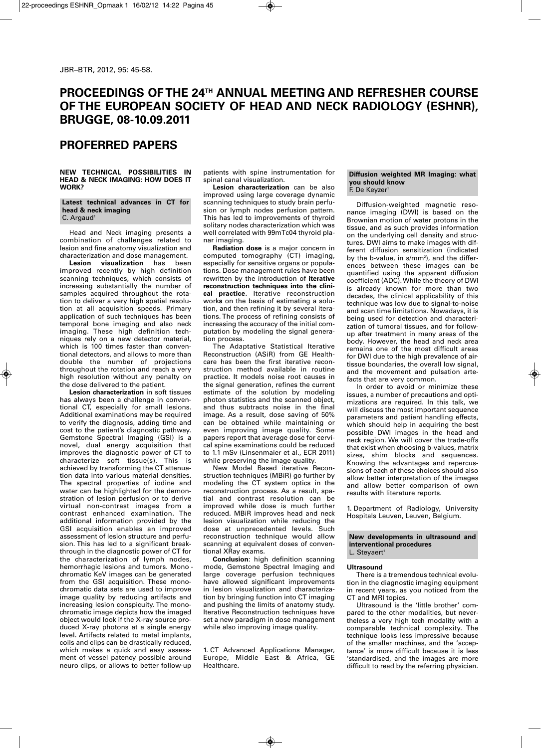# **PROCEEDINGS OF THE 24TH ANNUAL MEETING AND REFRESHER COURSE OF THE EUROPEAN SOCIETY OF HEAD AND NECK RADIOLOGY (ESHNR), BRUGGE, 08-10.09.2011**

# **PROFERRED PAPERS**

## **NEW TECHNICAL POSSIBILITIES IN HEAD & NECK IMAGING: HOW DOES IT WORK?**

#### **Latest technical advances in CT for head & neck imaging** C. Argaud<sup>1</sup>

Head and Neck imaging presents a combination of challenges related to lesion and fine anatomy visualization and characterization and dose management.

**Lesion visualization** has been improved recently by high definition scanning techniques, which consists of increasing substantially the number of samples acquired throughout the rotation to deliver a very high spatial resolution at all acquisition speeds. Primary application of such techniques has been temporal bone imaging and also neck imaging. These high definition techniques rely on a new detector material, which is 100 times faster than conventional detectors, and allows to more than double the number of projections throughout the rotation and reach a very high resolution without any penalty on the dose delivered to the patient.

**Lesion characterization** in soft tissues has always been a challenge in conventional CT, especially for small lesions. Additional examinations may be required to verify the diagnosis, adding time and cost to the patient's diagnostic pathway. Gemstone Spectral Imaging (GSI) is a novel, dual energy acquisition that improves the diagnostic power of CT to characterize soft tissue(s). This is achieved by transforming the CT attenuation data into various material densities. The spectral properties of iodine and water can be highlighted for the demonstration of lesion perfusion or to derive virtual non-contrast images from a contrast enhanced examination. The additional information provided by the GSI acquisition enables an improved assessment of lesion structure and perfusion. This has led to a significant breakthrough in the diagnostic power of CT for the characterization of lymph nodes, hemorrhagic lesions and tumors. Mono chromatic KeV images can be generated from the GSI acquisition. These monochromatic data sets are used to improve image quality by reducing artifacts and increasing lesion conspicuity. The monochromatic image depicts how the imaged object would look if the X-ray source produced X-ray photons at a single energy level**.** Artifacts related to metal implants, coils and clips can be drastically reduced, which makes a quick and easy assessment of vessel patency possible around neuro clips, or allows to better follow-up

patients with spine instrumentation for spinal canal visualization.

**Lesion characterization** can be also improved using large coverage dynamic scanning techniques to study brain perfusion or lymph nodes perfusion pattern. This has led to improvements of thyroid solitary nodes characterization which was well correlated with 99mTc04 thyroid planar imaging.

**Radiation dose** is a major concern in computed tomography (CT) imaging, especially for sensitive organs or populations. Dose management rules have been rewritten by the introduction of **iterative reconstruction techniques into the clinical practice**. Iterative reconstruction work**s** on the basis of estimating a solution, and then refining it by several iterations. The process of refining consists of increasing the accuracy of the initial computation by modeling the signal generation process.

The Adaptative Statistical Iterative Reconstruction (ASiR) from GE Healthcare has been the first iterative reconstruction method available in routine practice. It models noise root causes in the signal generation, refines the current estimate of the solution by modeling photon statistics and the scanned object, and thus subtracts noise in the final image. As a result, dose saving of 50% can be obtained while maintaining or even improving image quality. Some papers report that average dose for cervical spine examinations could be reduced to 1.1 mSv (Linsenmaier et al., ECR 2011) while preserving the image quality.

New Model Based iterative Reconstruction techniques (MBiR) go further by modeling the CT system optics in the reconstruction process. As a result, spatial and contrast resolution can be improved while dose is much further reduced. MBiR improves head and neck lesion visualization while reducing the dose at unprecedented levels. Such reconstruction technique would allow scanning at equivalent doses of conventional XRay exams.

**Conclusion**: high definition scanning mode, Gemstone Spectral Imaging and large coverage perfusion techniques have allowed significant improvements in lesion visualization and characterization by bringing function into CT imaging and pushing the limits of anatomy study. Iterative Reconstruction techniques have set a new paradigm in dose management while also improving image quality.

1. CT Advanced Applications Manager, Europe, Middle East & Africa, GE Healthcare.

#### **Diffusion weighted MR Imaging: what you should know** F. De Keyzer1

Diffusion-weighted magnetic resonance imaging (DWI) is based on the Brownian motion of water protons in the tissue, and as such provides information on the underlying cell density and structures. DWI aims to make images with different diffusion sensitization (indicated by the b-value, in s/mm2 ), and the differences between these images can be quantified using the apparent diffusion coefficient (ADC). While the theory of DWI is already known for more than two decades, the clinical applicability of this technique was low due to signal-to-noise and scan time limitations. Nowadays, it is being used for detection and characterization of tumoral tissues, and for followup after treatment in many areas of the body. However, the head and neck area remains one of the most difficult areas for DWI due to the high prevalence of airtissue boundaries, the overall low signal, and the movement and pulsation artefacts that are very common.

In order to avoid or minimize these issues, a number of precautions and optimizations are required. In this talk, we will discuss the most important sequence parameters and patient handling effects, which should help in acquiring the best possible DWI images in the head and neck region. We will cover the trade-offs that exist when choosing b-values, matrix sizes, shim blocks and sequences. Knowing the advantages and repercussions of each of these choices should also allow better interpretation of the images and allow better comparison of own results with literature reports.

1. Department of Radiology, University Hospitals Leuven, Leuven, Belgium.

**New developments in ultrasound and interventional procedures** L. Stevaert<sup>1</sup>

#### **Ultrasound**

There is a tremendous technical evolution in the diagnostic imaging equipment in recent years, as you noticed from the CT and MRI topics.

Ultrasound is the 'little brother' compared to the other modalities, but nevertheless a very high tech modality with a comparable technical complexity. The technique looks less impressive because of the smaller machines, and the 'acceptance' is more difficult because it is less 'standardised, and the images are more difficult to read by the referring physician.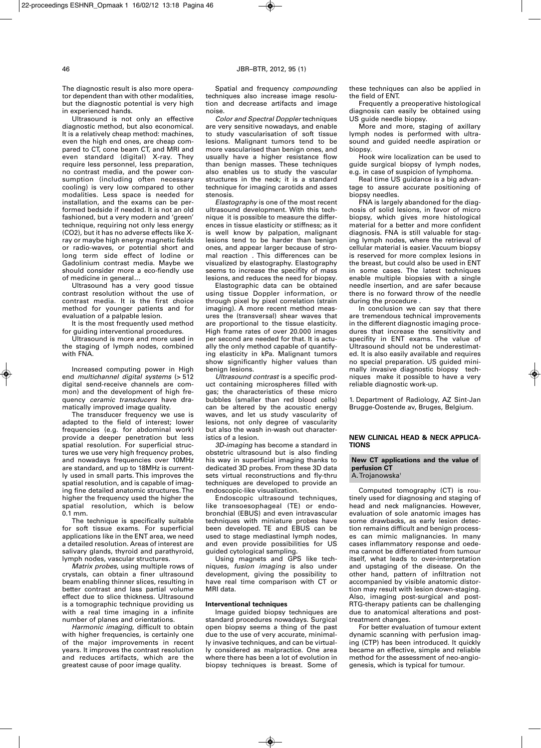The diagnostic result is also more operator dependent than with other modalities, but the diagnostic potential is very high in experienced hands.

Ultrasound is not only an effective diagnostic method, but also economical. It is a relatively cheap method: machines, even the high end ones, are cheap compared to CT, cone beam CT, and MRI and even standard (digital) X-ray. They require less personnel, less preparation, no contrast media, and the power consumption (including often necessary cooling) is very low compared to other modalities. Less space is needed for installation, and the exams can be performed bedside if needed. It is not an old fashioned, but a very modern and 'green' technique, requiring not only less energy (CO2), but it has no adverse effects like Xray or maybe high energy magnetic fields or radio-waves, or potential short and long term side effect of Iodine or Gadolinium contrast media. Maybe we should consider more a eco-fiendly use of medicine in general…

Ultrasound has a very good tissue contrast resolution without the use of contrast media. It is the first choice method for younger patients and for evaluation of a palpable lesion.

It is the most frequently used method for guiding interventional procedures.

Ultrasound is more and more used in the staging of lymph nodes, combined with FNA.

Increased computing power in High end *multichannel digital systems* (> 512 digital send-receive channels are common) and the development of high frequency *ceramic transducers* have dramatically improved image quality.

The transducer frequency we use is adapted to the field of interest; lower frequencies (e.g. for abdominal work) provide a deeper penetration but less spatial resolution. For superficial structures we use very high frequency probes, and nowadays frequencies over 10MHz are standard, and up to 18MHz is currently used in small parts. This improves the spatial resolution, and is capable of imaging fine detailed anatomic structures.The higher the frequency used the higher the spatial resolution, which is below 0.1 mm.

The technique is specifically suitable for soft tissue exams. For superficial applications like in the ENT area, we need a detailed resolution. Areas of interest are salivary glands, thyroid and parathyroid, lymph nodes, vascular structures.

*Matrix probes*, using multiple rows of crystals, can obtain a finer ultrasound beam enabling thinner slices, resulting in better contrast and lass partial volume effect due to slice thickness. Ultrasound is a tomographic technique providing us with a real time imaging in a infinite number of planes and orientations.

*Harmonic imaging*, difficult to obtain with higher frequencies, is certainly one of the major improvements in recent years. It improves the contrast resolution and reduces artifacts, which are the greatest cause of poor image quality.

Spatial and frequency *compounding* techniques also increase image resolution and decrease artifacts and image noise.

*Color and Spectral Doppler* techniques are very sensitive nowadays, and enable to study vascularisation of soft tissue lesions. Malignant tumors tend to be more vascularised than benign ones, and usually have a higher resistance flow than benign masses. These techniques also enables us to study the vascular structures in the neck; it is a standard technique for imaging carotids and asses stenosis.

*Elastography* is one of the most recent ultrasound development. With this technique it is possible to measure the differences in tissue elasticity or stiffness; as it is well know by palpation, malignant lesions tend to be harder than benign ones, and appear larger because of stromal reaction . This differences can be visualized by elastography. Elastography seems to increase the specifity of mass lesions, and reduces the need for biopsy.

Elastographic data can be obtained using tissue Doppler information, or through pixel by pixel correlation (strain imaging). A more recent method measures the (transversal) shear waves that are proportional to the tissue elasticity. High frame rates of over 20.000 images per second are needed for that. It is actually the only method capable of quantifying elasticity in kPa. Malignant tumors show significantly higher values than benign lesions.

*Ultrasound contrast* is a specific product containing microspheres filled with gas; the characteristics of these micro bubbles (smaller than red blood cells) can be altered by the acoustic energy waves, and let us study vascularity of lesions, not only degree of vascularity but also the wash in-wash out characteristics of a lesion.

*3D-imaging* has become a standard in obstetric ultrasound but is also finding his way in superficial imaging thanks to dedicated 3D probes. From these 3D data sets virtual reconstructions and fly-thru techniques are developed to provide an endoscopic-like visualization.

Endoscopic ultrasound techniques, like transoesophageal (TE) or endobronchial (EBUS) and even intravascular techniques with miniature probes have been developed. TE and EBUS can be used to stage mediastinal lymph nodes, and even provide possibilities for US guided cytological sampling.

Using magnets and GPS like techniques, *fusion imaging* is also under development, giving the possibility to have real time comparison with CT or MRI data.

#### **Interventional techniques**

Image guided biopsy techniques are standard procedures nowadays. Surgical open biopsy seems a thing of the past due to the use of very accurate, minimally invasive techniques, and can be virtually considered as malpractice. One area where there has been a lot of evolution in biopsy techniques is breast. Some of

these techniques can also be applied in the field of ENT.

Frequently a preoperative histological diagnosis can easily be obtained using US guide needle biopsy.

More and more, staging of axillary lymph nodes is performed with ultrasound and guided needle aspiration or biopsy.

Hook wire localization can be used to guide surgical biopsy of lymph nodes, e.g. in case of suspicion of lymphoma.

Real time US guidance is a big advantage to assure accurate positioning of biopsy needles.

FNA is largely abandoned for the diagnosis of solid lesions, in favor of micro biopsy, which gives more histological material for a better and more confident diagnosis. FNA is still valuable for staging lymph nodes, where the retrieval of cellular material is easier. Vacuum biopsy is reserved for more complex lesions in the breast, but could also be used in ENT in some cases. The latest techniques enable multiple biopsies with a single needle insertion, and are safer because there is no forward throw of the needle during the procedure .

In conclusion we can say that there are tremendous technical improvements in the different diagnostic imaging procedures that increase the sensitivity and specifity in ENT exams. The value of Ultrasound should not be underestimated. It is also easily available and requires no special preparation. US guided minimally invasive diagnostic biopsy techniques make it possible to have a very reliable diagnostic work-up.

1. Department of Radiology, AZ Sint-Jan Brugge-Oostende av, Bruges, Belgium.

#### **NEW CLINICAL HEAD & NECK APPLICA-TIONS**

**New CT applications and the value of perfusion CT** A. Trojanowska<sup>1</sup>

Computed tomography (CT) is routinely used for diagnosing and staging of head and neck malignancies. However, evaluation of sole anatomic images has some drawbacks, as early lesion detection remains difficult and benign processes can mimic malignancies. In many cases inflammatory response and oedema cannot be differentiated from tumour itself, what leads to over-interpretation and upstaging of the disease. On the other hand, pattern of infiltration not accompanied by visible anatomic distortion may result with lesion down-staging. Also, imaging post-surgical and post-RTG-therapy patients can be challenging due to anatomical alterations and posttreatment changes.

For better evaluation of tumour extent dynamic scanning with perfusion imaging (CTP) has been introduced. It quickly became an effective, simple and reliable method for the assessment of neo-angiogenesis, which is typical for tumour.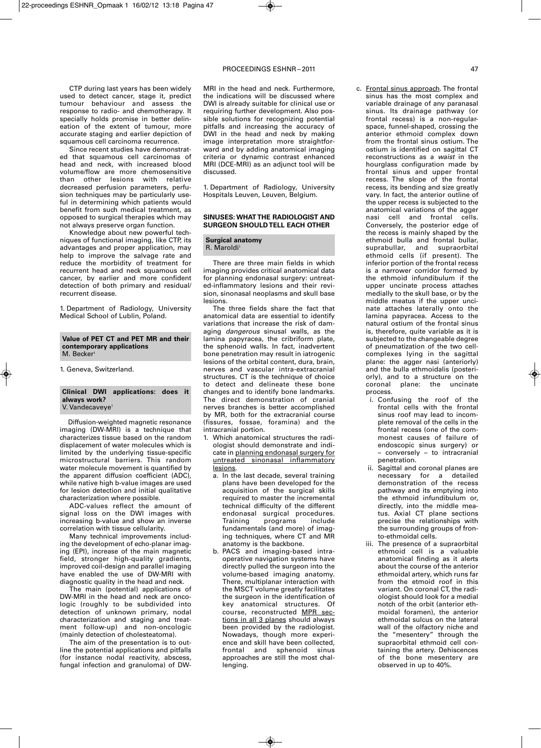CTP during last years has been widely used to detect cancer, stage it, predict tumour behaviour and assess the response to radio- and chemotherapy. It specially holds promise in better delineation of the extent of tumour, more accurate staging and earlier depiction of squamous cell carcinoma recurrence.

Since recent studies have demonstrated that squamous cell carcinomas of head and neck, with increased blood volume/flow are more chemosensitive than other lesions with relative decreased perfusion parameters, perfusion techniques may be particularly useful in determining which patients would benefit from such medical treatment, as opposed to surgical therapies which may not always preserve organ function.

Knowledge about new powerful techniques of functional imaging, like CTP, its advantages and proper application, may help to improve the salvage rate and reduce the morbidity of treatment for recurrent head and neck squamous cell cancer, by earlier and more confident detection of both primary and residual/ recurrent disease.

1. Department of Radiology, University Medical School of Lublin, Poland.

#### **Value of PET CT and PET MR and their contemporary applications** M. Becker<sup>1</sup>

1. Geneva, Switzerland.

#### **Clinical DWI applications: does it always work?** V. Vandecaveve<sup>1</sup>

Diffusion-weighted magnetic resonance imaging (DW-MRI) is a technique that characterizes tissue based on the random displacement of water molecules which is limited by the underlying tissue-specific microstructural barriers. This random water molecule movement is quantified by the apparent diffusion coefficient (ADC), while native high b-value images are used for lesion detection and initial qualitative characterization where possible.

ADC-values reflect the amount of signal loss on the DWI images with increasing b-value and show an inverse correlation with tissue cellularity.

Many technical improvements including the development of echo-planar imaging (EPI), increase of the main magnetic field, stronger high-quality gradients, improved coil-design and parallel imaging have enabled the use of DW-MRI with diagnostic quality in the head and neck.

The main (potential) applications of DW-MRI in the head and neck are oncologic (roughly to be subdivided into detection of unknown primary, nodal characterization and staging and treatment follow-up) and non-oncologic (mainly detection of cholesteatoma).

The aim of the presentation is to outline the potential applications and pitfalls (for instance nodal reactivity, abscess, fungal infection and granuloma) of DW-

MRI in the head and neck. Furthermore, the indications will be discussed where DWI is already suitable for clinical use or requiring further development. Also possible solutions for recognizing potential pitfalls and increasing the accuracy of DWI in the head and neck by making image interpretation more straightforward and by adding anatomical imaging criteria or dynamic contrast enhanced MRI (DCE-MRI) as an adjunct tool will be discussed.

1. Department of Radiology, University Hospitals Leuven, Leuven, Belgium.

## **SINUSES: WHAT THE RADIOLOGIST AND SURGEON SHOULD TELL EACH OTHER**

**Surgical anatomy** R. Maroldi 1

There are three main fields in which imaging provides critical anatomical data for planning endonasal surgery: untreated-inflammatory lesions and their revision, sinonasal neoplasms and skull base lesions.

The three fields share the fact that anatomical data are essential to identify variations that increase the risk of damaging *dangerous* sinusal walls, as the lamina papyracea, the cribriform plate, the sphenoid walls. In fact, inadvertent bone penetration may result in iatrogenic lesions of the orbital content, dura, brain, nerves and vascular intra-extracranial structures. CT is the technique of choice to detect and delineate these bone changes and to identify bone landmarks. The direct demonstration of cranial nerves branches is better accomplished by MR, both for the extracranial course (fissures, fossae, foramina) and the intracranial portion.

- 1. Which anatomical structures the radiologist should demonstrate and indicate in planning endonasal surgery for untreated sinonasal inflammatory lesions.
	- a. In the last decade, several training plans have been developed for the acquisition of the surgical skills required to master the incremental technical difficulty of the different endonasal surgical procedures.<br>Training programs include  $programs$ fundamentals (and more) of imaging techniques, where CT and MR anatomy is the backbone.
	- b. PACS and imaging-based intraoperative navigation systems have directly pulled the surgeon into the volume-based imaging anatomy. There, multiplanar interaction with the MSCT volume greatly facilitates the surgeon in the identification of key anatomical structures. Of course, reconstructed MPR sections in all 3 planes should always been provided by the radiologist. Nowadays, though more experience and skill have been collected,<br>frontal and sphenoid sinus and sphenoid sinus approaches are still the most challenging.
- c. Frontal sinus approach. The frontal sinus has the most complex and variable drainage of any paranasal sinus. Its drainage pathway (or frontal recess) is a non-regularspace, funnel-shaped, crossing the anterior ethmoid complex down from the frontal sinus ostium. The ostium is identified on sagittal CT reconstructions as a *waist* in the hourglass configuration made by frontal sinus and upper frontal recess. The slope of the frontal recess, its bending and size greatly vary. In fact, the anterior outline of the upper recess is subjected to the anatomical variations of the agger nasi cell and frontal cells. Conversely, the posterior edge of the recess is mainly shaped by the ethmoid bulla and frontal bullar,<br>suprabullar, and supraorbital suprabullar, and ethmoid cells (if present). The inferior portion of the frontal recess is a narrower corridor formed by the ethmoid infundibulum if the upper uncinate process attaches medially to the skull base, or by the middle meatus if the upper uncinate attaches laterally onto the lamina papyracea. Access to the natural ostium of the frontal sinus is, therefore, quite variable as it is subjected to the changeable degree of pneumatization of the two cellcomplexes lying in the sagittal plane: the agger nasi (anteriorly) and the bulla ethmoidalis (posteriorly), and to a structure on the coronal plane: the uncinate process.
	- i. Confusing the roof of the frontal cells with the frontal sinus roof may lead to incomplete removal of the cells in the frontal recess (one of the commonest causes of failure of endoscopic sinus surgery) or – conversely – to intracranial penetration.
	- ii. Sagittal and coronal planes are necessary for a detailed demonstration of the recess pathway and its emptying into the ethmoid infundibulum or, directly, into the middle meatus. Axial CT plane sections precise the relationships with the surrounding groups of fronto-ethmoidal cells.
	- iii. The presence of a supraorbital ethmoid cell is a valuable anatomical finding as it alerts about the course of the anterior ethmoidal artery, which runs far from the etmoid roof in this variant. On coronal CT, the radiologist should look for a medial notch of the orbit (anterior ethmoidal foramen), the anterior ethmoidal sulcus on the lateral wall of the olfactory niche and the "mesentery" through the supraorbital ethmoid cell containing the artery. Dehiscences of the bone mesentery are observed in up to 40%.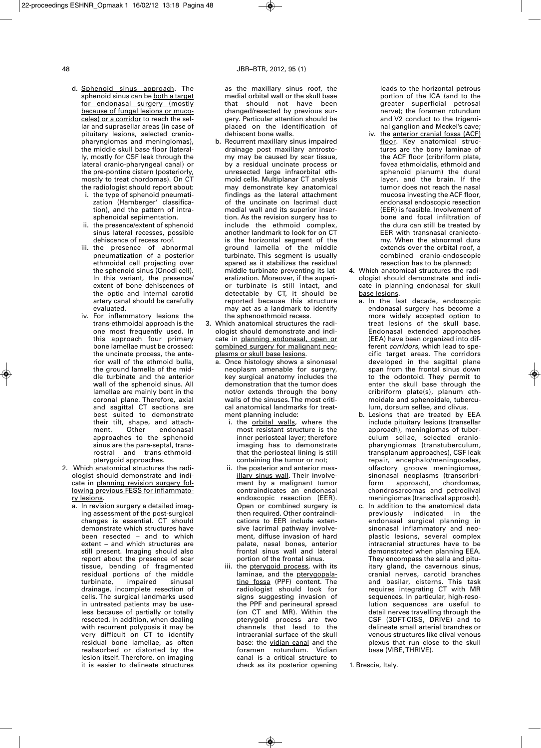- d. Sphenoid sinus approach. The sphenoid sinus can be both a target for endonasal surgery (mostly because of fungal lesions or mucoceles) or a corridor to reach the sellar and suprasellar areas (in case of pituitary lesions, selected craniopharyngiomas and meningiomas), the middle skull base floor (laterally, mostly for CSF leak through the lateral cranio-pharyngeal canal) or the pre-pontine cistern (posteriorly, mostly to treat chordomas). On CT the radiologist should report about:
	- i. the type of sphenoid pneumatization (Hamberger' classification), and the pattern of intrasphenoidal sepimentation.
	- ii. the presence/extent of sphenoid sinus lateral recesses, possible dehiscence of recess roof.
	- iii. the presence of abnormal pneumatization of a posterior ethmoidal cell projecting over the sphenoid sinus (Onodi cell). In this variant, the presence/ extent of bone dehiscences of the optic and internal carotid artery canal should be carefully evaluated.
	- iv. For inflammatory lesions the trans-ethmoidal approach is the one most frequently used. In this approach four primary bone lamellae must be crossed: the uncinate process, the anterior wall of the ethmoid bulla, the ground lamella of the middle turbinate and the anterior wall of the sphenoid sinus. All lamellae are mainly bent in the coronal plane. Therefore, axial and sagittal CT sections are best suited to demonstrate their tilt, shape, and attachment. Other endonasal approaches to the sphenoid sinus are the para-septal, transrostral and trans-ethmoidpterygoid approaches.
- 2. Which anatomical structures the radiologist should demonstrate and indicate in planning revision surgery following previous FESS for inflammatory lesions.
	- a. In revision surgery a detailed imaging assessment of the post-surgical changes is essential. CT should demonstrate which structures have been resected – and to which extent – and which structures are still present. Imaging should also report about the presence of scar tissue, bending of fragmented residual portions of the middle turbinate, impaired sinusal drainage, incomplete resection of cells. The surgical landmarks used in untreated patients may be useless because of partially or totally resected. In addition, when dealing with recurrent polyposis it may be very difficult on CT to identify residual bone lamellae, as often reabsorbed or distorted by the lesion itself. Therefore, on imaging it is easier to delineate structures

as the maxillary sinus roof, the medial orbital wall or the skull base that should not have been changed/resected by previous surgery. Particular attention should be placed on the identification of dehiscent bone walls.

- b. Recurrent maxillary sinus impaired drainage post maxillary antrostomy may be caused by scar tissue, by a residual uncinate process or unresected large infraorbital ethmoid cells. Multiplanar CT analysis may demonstrate key anatomical findings as the lateral attachment of the uncinate on lacrimal duct medial wall and its superior insertion. As the revision surgery has to include the ethmoid complex, another landmark to look for on CT is the horizontal segment of the ground lamella of the middle turbinate. This segment is usually spared as it stabilizes the residual middle turbinate preventing its lateralization. Moreover, if the superior turbinate is still intact, and detectable by CT, it should be reported because this structure may act as a landmark to identify the sphenoethmoid recess.
- 3. Which anatomical structures the radiologist should demonstrate and indicate in planning endonasal, open or combined surgery for malignant neoplasms or skull base lesions.
	- a. Once histology shows a sinonasal neoplasm amenable for surgery, key surgical anatomy includes the demonstration that the tumor does not/or extends through the bony walls of the sinuses.The most critical anatomical landmarks for treatment planning include:
		- i. the orbital walls, where the most resistant structure is the inner periosteal layer; therefore imaging has to demonstrate that the periosteal lining is still containing the tumor or not;
		- ii. the posterior and anterior maxillary sinus wall. Their involvement by a malignant tumor contraindicates an endonasal endoscopic resection (EER). Open or combined surgery is then required. Other contraindications to EER include extensive lacrimal pathway involvement, diffuse invasion of hard palate, nasal bones, anterior frontal sinus wall and lateral portion of the frontal sinus.
		- iii. the pterygoid process, with its laminae, and the pterygopalatine fossa (PPF) content. The radiologist should look for signs suggesting invasion of the PPF and perineural spread (on CT and MR). Within the pterygoid process are two channels that lead to the intracranial surface of the skull base: the vidian canal and the foramen rotundum. Vidian canal is a critical structure to check as its posterior opening

leads to the horizontal petrous portion of the ICA (and to the greater superficial petrosal nerve); the foramen rotundum and V2 conduct to the trigeminal ganglion and Meckel's cave;

- iv. the anterior cranial fossa (ACF) floor. Key anatomical structures are the bony laminae of the ACF floor (cribriform plate, fovea ethmoidalis, ethmoid and sphenoid planum) the dural layer, and the brain. If the tumor does not reach the nasal mucosa investing the ACF floor, endonasal endoscopic resection (EER) is feasible. Involvement of bone and focal infiltration of the dura can still be treated by EER with transnasal craniectomy. When the abnormal dura extends over the orbital roof, a combined cranio-endoscopic resection has to be planned;
- 4. Which anatomical structures the radiologist should demonstrate and indicate in planning endonasal for skull base lesions.
	- a. In the last decade, endoscopic endonasal surgery has become a more widely accepted option to treat lesions of the skull base. Endonasal extended approaches (EEA) have been organized into different *corridors*, which lead to specific target areas. The corridors developed in the sagittal plane span from the frontal sinus down to the odontoid. They permit to enter the skull base through the cribriform plate(s), planum ethmoidale and sphenoidale, tuberculum, dorsum sellae, and clivus.
	- b. Lesions that are treated by EEA include pituitary lesions (transellar approach), meningiomas of tuberculum sellae, selected craniopharyngiomas (transtuberculum, transplanum approaches), CSF leak repair, encephalo/meningoceles, olfactory groove meningiomas, sinonasal neoplasms (transcribri-<br>form approach), chordomas, approach), chondrosarcomas and petroclival meningiomas (transclival approach).
	- c. In addition to the anatomical data previously indicated in the endonasal surgical planning in sinonasal inflammatory and neoplastic lesions, several complex intracranial structures have to be demonstrated when planning EEA. They encompass the sella and pituitary gland, the cavernous sinus, cranial nerves, carotid branches and basilar, cisterns. This task requires integrating CT with MR sequences. In particular, high-resolution sequences are useful to detail nerves travelling through the CSF (3DFT-CISS, DRIVE) and to delineate small arterial branches or venous structures like clival venous plexus that run close to the skull base (VIBE,THRIVE).

1. Brescia, Italy.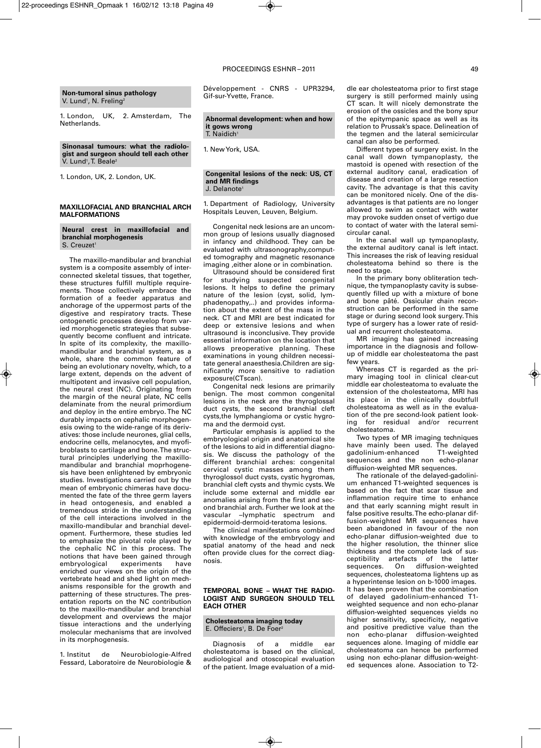**Non-tumoral sinus pathology** V. Lund<sup>,</sup>, N. Freling<sup>2</sup>

1. London, UK, 2. Amsterdam, The Netherlands.

**Sinonasal tumours: what the radiologist and surgeon should tell each other** V. Lund $\,$ , T. Beale $^2$ 

1. London, UK, 2. London, UK.

## **MAXILLOFACIAL AND BRANCHIAL ARCH MALFORMATIONS**

#### **Neural crest in maxillofacial and branchial morphogenesis** S. Creuzet<sup>1</sup>

The maxillo-mandibular and branchial system is a composite assembly of interconnected skeletal tissues, that together, these structures fulfill multiple requirements. Those collectively embrace the formation of a feeder apparatus and anchorage of the uppermost parts of the digestive and respiratory tracts. These ontogenetic processes develop from varied morphogenetic strategies that subsequently become confluent and intricate. In spite of its complexity, the maxillomandibular and branchial system, as a whole, share the common feature of being an evolutionary novelty, which, to a large extent, depends on the advent of multipotent and invasive cell population, the neural crest (NC). Originating from the margin of the neural plate, NC cells delaminate from the neural primordium and deploy in the entire embryo. The NC durably impacts on cephalic morphogenesis owing to the wide-range of its derivatives: those include neurones, glial cells, endocrine cells, melanocytes, and myofibroblasts to cartilage and bone.The structural principles underlying the maxillomandibular and branchial moprhogenesis have been enlightened by embryonic studies. Investigations carried out by the mean of embryonic chimeras have documented the fate of the three germ layers in head ontogenesis, and enabled a tremendous stride in the understanding of the cell interactions involved in the maxillo-mandibular and branchial development. Furthermore, these studies led to emphasize the pivotal role played by the cephalic NC in this process. The notions that have been gained through<br>embryological experiments have embryological experiments have enriched our views on the origin of the vertebrate head and shed light on mechanisms responsible for the growth and patterning of these structures. The presentation reports on the NC contribution to the maxillo-mandibular and branchial development and overviews the major tissue interactions and the underlying molecular mechanisms that are involved in its morphogenesis.

1. Institut de Neurobiologie-Alfred Fessard, Laboratoire de Neurobiologie & Développement - CNRS - UPR3294, Gif-sur-Yvette, France.

**Abnormal development: when and how it gows wrong** T. Naidich<sup>1</sup>

1. NewYork, USA.

#### **Congenital lesions of the neck: US, CT and MR findings** J. Delanote<sup>1</sup>

1. Department of Radiology, University Hospitals Leuven, Leuven, Belgium.

Congenital neck lesions are an uncommon group of lesions usually diagnosed in infancy and childhood. They can be evaluated with ultrasonography,computed tomography and magnetic resonance imaging ,either alone or in combination.

Ultrasound should be considered first<br>for studying suspected congenital studving suspected congenital lesions. It helps to define the primary nature of the lesion (cyst, solid, lymphadenopathy,..) and provides information about the extent of the mass in the neck. CT and MRI are best indicated for deep or extensive lesions and when ultrasound is inconclusive. They provide essential information on the location that allows preoperative planning. These examinations in young children necessitate general anaesthesia.Children are significantly more sensitive to radiation exposure(CTscan).

Congenital neck lesions are primarily benign. The most common congenital lesions in the neck are the thyroglossal duct cysts, the second branchial cleft cysts,the lymphangioma or cystic hygroma and the dermoid cyst.

Particular emphasis is applied to the embryological origin and anatomical site of the lesions to aid in differential diagnosis. We discuss the pathology of the different branchial arches: congenital cervical cystic masses among them thyroglossol duct cysts, cystic hygromas, branchial cleft cysts and thymic cysts. We include some external and middle ear anomalies arising from the first and second branchial arch. Further we look at the vascular –lymphatic spectrum and epidermoid-dermoid-teratoma lesions.

The clinical manifestations combined with knowledge of the embryology and spatial anatomy of the head and neck often provide clues for the correct diagnosis.

## **TEMPORAL BONE – WHAT THE RADIO-LOGIST AND SURGEON SHOULD TELL EACH OTHER**

### **Cholesteatoma imaging today** E. Offeciers<sup>1</sup>, B. De Foer<sup>2</sup>

Diagnosis of a middle ear cholesteatoma is based on the clinical, audiological and otoscopical evaluation of the patient. Image evaluation of a middle ear cholesteatoma prior to first stage surgery is still performed mainly using CT scan. It will nicely demonstrate the erosion of the ossicles and the bony spur of the epitympanic space as well as its relation to Prussak's space. Delineation of the tegmen and the lateral semicircular canal can also be performed.

Different types of surgery exist. In the canal wall down tympanoplasty, the mastoid is opened with resection of the external auditory canal, eradication of disease and creation of a large resection cavity. The advantage is that this cavity can be monitored nicely. One of the disadvantages is that patients are no longer allowed to swim as contact with water may provoke sudden onset of vertigo due to contact of water with the lateral semicircular canal.

In the canal wall up tympanoplasty, the external auditory canal is left intact. This increases the risk of leaving residual cholesteatoma behind so there is the need to stage.

In the primary bony obliteration technique, the tympanoplasty cavity is subsequently filled up with a mixture of bone and bone pâté. Ossicular chain reconstruction can be performed in the same stage or during second look surgery.This type of surgery has a lower rate of residual and recurrent cholesteatoma.

MR imaging has gained increasing importance in the diagnosis and followup of middle ear cholesteatoma the past few years.

Whereas CT is regarded as the primary imaging tool in clinical clear-cut middle ear cholesteatoma to evaluate the extension of the cholesteatoma, MRI has its place in the clinically doubtfull cholesteatoma as well as in the evaluation of the pre second-look patient looking for residual and/or recurrent cholesteatoma.

Two types of MR imaging techniques have mainly been used. The delayed<br>gadolinium-enhanced T1-weighted gadolinium-enhanced sequences and the non echo-planar diffusion-weighted MR sequences.

The rationale of the delayed-gadolinium enhanced T1-weighted sequences is based on the fact that scar tissue and inflammation require time to enhance and that early scanning might result in false positive results.The echo-planar diffusion-weighted MR sequences have been abandoned in favour of the non echo-planar diffusion-weighted due to the higher resolution, the thinner slice thickness and the complete lack of susceptibility artefacts of the latter sequences. On diffusion-weighted sequences, cholesteatoma lightens up as a hyperintense lesion on b-1000 images. It has been proven that the combination of delayed gadolinium-enhanced T1weighted sequence and non echo-planar diffusion-weighted sequences yields no higher sensitivity, specificity, negative and positive predictive value than the non echo-planar diffusion-weighted sequences alone. Imaging of middle ear cholesteatoma can hence be performed using non echo-planar diffusion-weighted sequences alone. Association to T2-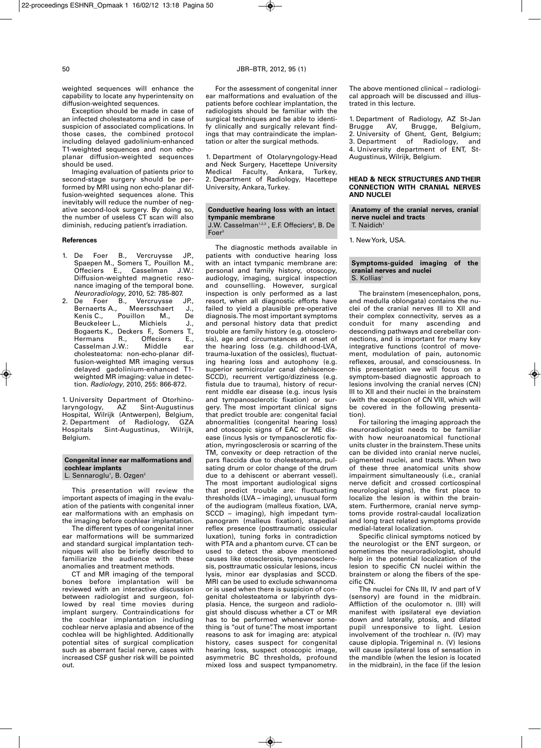Exception should be made in case of an infected cholesteatoma and in case of suspicion of associated complications. In those cases, the combined protocol including delayed gadolinium-enhanced T1-weighted sequences and non echoplanar diffusion-weighted sequences should be used.

Imaging evaluation of patients prior to second-stage surgery should be performed by MRI using non echo-planar diffusion-weighted sequences alone. This inevitably will reduce the number of negative second-look surgery. By doing so, the number of useless CT scan will also diminish, reducing patient's irradiation.

#### **References**

- 1. De Foer B., Vercruysse JP., Spaepen M., Somers T., Pouillon M., Offeciers E., Casselman J.W.: Diffusion-weighted magnetic resonance imaging of the temporal bone. *Neuroradiology*, 2010, 52: 785-807.
- 2. De Foer B., Vercruysse JP., Bernaerts A., Meersschaert J., Kenis C., Pouillon M., De<br>Beuckeleer L., Michiels J., Beuckeleer L., Bogaerts K., Deckers F., Somers T.,<br>Hermans R., Offeciers E., Offeciers<br>Middle Casselman J.W.: Middle ear cholesteatoma: non-echo-planar diffusion-weighted MR imaging versus delayed gadolinium-enhanced T1 weighted MR imaging: value in detection. *Radiology*, 2010, 255: 866-872.

1. University Department of Otorhino-<br>laryngology, AZ Sint-Augustinus laryngology, AZ Sint-Augustinus<br>Hospital, Wilrijk (Antwerpen), Belgium, Hospital, Wilrijk (Antwerpen), Belgium, 2. Department of Radiology, GZA Hospitals Sint-Augustinus, Wilrijk, Belgium.

## **Congenital inner ear malformations and cochlear implants** L. Sennaroglu<sup>1</sup>, B. Ozgen<sup>2</sup>

This presentation will review the important aspects of imaging in the evaluation of the patients with congenital inner ear malformations with an emphasis on the imaging before cochlear implantation.

The different types of congenital inner ear malformations will be summarized and standard surgical implantation techniques will also be briefly described to familiarize the audience with these anomalies and treatment methods.

CT and MR imaging of the temporal bones before implantation will be reviewed with an interactive discussion between radiologist and surgeon, followed by real time movies during implant surgery. Contraindications for the cochlear implantation including cochlear nerve aplasia and absence of the cochlea will be highlighted. Additionally potential sites of surgical complication such as aberrant facial nerve, cases with increased CSF gusher risk will be pointed out.

# 50 JBR–BTR, 2012, 95 (1)

For the assessment of congenital inner ear malformations and evaluation of the patients before cochlear implantation, the radiologists should be familiar with the surgical techniques and be able to identify clinically and surgically relevant findings that may contraindicate the implantation or alter the surgical methods.

1. Department of Otolaryngology-Head and Neck Surgery, Hacettepe University<br>Medical Faculty, Ankara, Turkey, Medical Faculty, 2. Department of Radiology, Hacettepe University, Ankara,Turkey.

#### **Conductive hearing loss with an intact tympanic membrane**

J.W. Casselman1,2,3 , E.F. Offeciers<sup>4</sup>, B. De Foer3

The diagnostic methods available in patients with conductive hearing loss with an intact tympanic membrane are: personal and family history, otoscopy, audiology, imaging, surgical inspection and counselling. However, surgical inspection is only performed as a last resort, when all diagnostic efforts have failed to yield a plausible pre-operative diagnosis.The most important symptoms and personal history data that predict trouble are family history (e.g. otosclerosis), age and circumstances at onset of the hearing loss (e.g. childhood-LVA, trauma-luxation of the ossicles), fluctuating hearing loss and autophony (e.g. superior semicircular canal dehiscence-SCCD), recurrent vertigo/dizziness (e.g. fistula due to trauma), history of recurrent middle ear disease (e.g. incus lysis and tympanosclerotic fixation) or surgery. The most important clinical signs that predict trouble are: congenital facial abnormalities (congenital hearing loss) and otoscopic signs of EAC or ME disease (incus lysis or tympanosclerotic fixation, myringosclerosis or scarring of the TM, convexity or deep retraction of the pars flaccida due to cholesteatoma, pulsating drum or color change of the drum due to a dehiscent or aberrant vessel). The most important audiological signs that predict trouble are: fluctuating thresholds (LVA – imaging), unusual form of the audiogram (malleus fixation, LVA, SCCD – imaging), high impedant tympanogram (malleus fixation), stapedial reflex presence (posttraumatic ossicular luxation), tuning forks in contradiction with PTA and a phantom curve. CT can be used to detect the above mentioned causes like otosclerosis, tympanosclerosis, posttraumatic ossicular lesions, incus lysis, minor ear dysplasias and SCCD. MRI can be used to exclude schwannoma or is used when there is suspicion of congenital cholesteatoma or labyrinth dysplasia. Hence, the surgeon and radiologist should discuss whether a CT or MR has to be performed whenever something is "out of tune".The most important reasons to ask for imaging are: atypical history, cases suspect for congenital hearing loss, suspect otoscopic image, asymmetric BC thresholds, profound mixed loss and suspect tympanometry.

The above mentioned clinical – radiological approach will be discussed and illustrated in this lecture.

1. Department of Radiology, AZ St-Jan<br>Brugge AV, Brugge, Belgium, Brugge AV, Brugge, Belgium, 2. University of Ghent, Gent, Belgium; 3. Department of Radiology, and 4. University department of ENT, St-Augustinus, Wilrijk, Belgium.

## **HEAD & NECK STRUCTURES AND THEIR CONNECTION WITH CRANIAL NERVES AND NUCLEI**

**Anatomy of the cranial nerves, cranial nerve nuclei and tracts** T. Naidich<sup>1</sup>

1. NewYork, USA.

#### **Symptoms-guided imaging of the cranial nerves and nuclei** S. Kollias<sup>1</sup>

The brainstem (mesencephalon, pons, and medulla oblongata) contains the nuclei of the cranial nerves III to XII and their complex connectivity, serves as a conduit for many ascending and descending pathways and cerebellar connections, and is important for many key integrative functions (control of movement, modulation of pain, autonomic reflexes, arousal, and consciousness. In this presentation we will focus on a symptom-based diagnostic approach to lesions involving the cranial nerves (CN) III to XII and their nuclei in the brainstem (with the exception of CN VIII, which will be covered in the following presentation).

For tailoring the imaging approach the neuroradiologist needs to be familiar with how neuroanatomical functional units cluster in the brainstem.These units can be divided into cranial nerve nuclei, pigmented nuclei, and tracts. When two of these three anatomical units show impairment simultaneously (i.e., cranial nerve deficit and crossed corticospinal neurological signs), the first place to localize the lesion is within the brainstem. Furthermore, cranial nerve symptoms provide rostral-caudal localization and long tract related symptoms provide medial-lateral localization.

Specific clinical symptoms noticed by the neurologist or the ENT surgeon, or sometimes the neuroradiologist, should help in the potential localization of the lesion to specific CN nuclei within the brainstem or along the fibers of the specific CN.

The nuclei for CNs III, IV and part of V (sensory) are found in the midbrain. Affliction of the oculomotor n. (III) will manifest with ipsilateral eye deviation down and laterally, ptosis, and dilated pupil unresponsive to light. Lesion involvement of the trochlear n. (IV) may cause diplopia. Trigeminal n. (V) lesions will cause ipsilateral loss of sensation in the mandible (when the lesion is located in the midbrain), in the face (if the lesion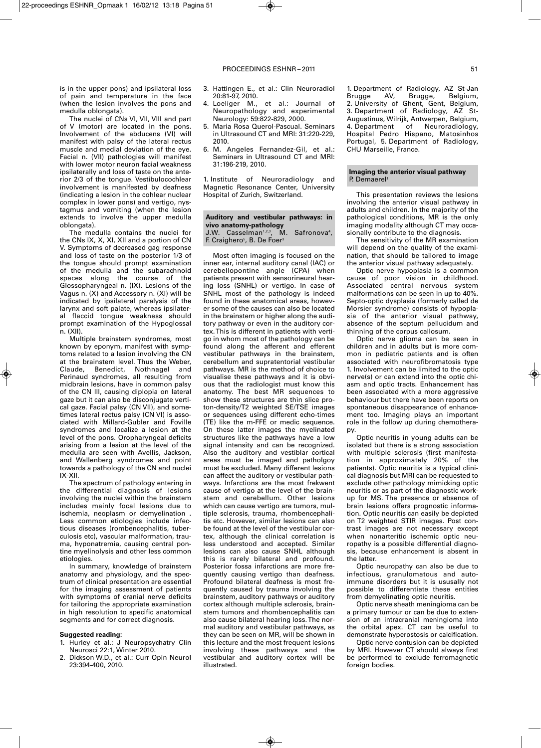is in the upper pons) and ipsilateral loss of pain and temperature in the face (when the lesion involves the pons and medulla oblongata).

The nuclei of CNs VI, VII, VIII and part of V (motor) are located in the pons. Involvement of the abducens (VI) will manifest with palsy of the lateral rectus muscle and medial deviation of the eye. Facial n. (VII) pathologies will manifest with lower motor neuron facial weakness ipsilaterally and loss of taste on the anterior 2/3 of the tongue. Vestibulocochlear involvement is manifested by deafness (indicating a lesion in the cohlear nuclear complex in lower pons) and vertigo, nystagmus and vomiting (when the lesion extends to involve the upper medulla oblongata).

The medulla contains the nuclei for the CNs IX, X, XI, XII and a portion of CN V. Symptoms of decreased gag response and loss of taste on the posterior 1/3 of the tongue should prompt examination of the medulla and the subarachnoid spaces along the course of the Glossopharyngeal n. (IX). Lesions of the Vagus n. (X) and Accessory n. (XI) will be indicated by ipsilateral paralysis of the larynx and soft palate, whereas ipsilateral flaccid tongue weakness should prompt examination of the Hypoglossal n. (XII).

Multiple brainstem syndromes, most known by eponym, manifest with symptoms related to a lesion involving the CN at the brainstem level. Thus the Weber,<br>Claude. Benedict. Nothnagel and Claude, Benedict, Nothnagel Perinaud syndromes, all resulting from midbrain lesions, have in common palsy of the CN III, causing diplopia on lateral gaze but it can also be disconjugate vertical gaze. Facial palsy (CN VII), and sometimes lateral rectus palsy (CN VI) is associated with Millard-Gubler and Foville syndromes and localize a lesion at the level of the pons. Oropharyngeal deficits arising from a lesion at the level of the medulla are seen with Avellis, Jackson, and Wallenberg syndromes and point towards a pathology of the CN and nuclei IX-XII.

The spectrum of pathology entering in the differential diagnosis of lesions involving the nuclei within the brainstem includes mainly focal lesions due to ischemia, neoplasm or demyelination . Less common etiologies include infectious diseases (rombencephalitis, tuberculosis etc), vascular malformation, trauma, hyponatremia, causing central pontine myelinolysis and other less common etiologies.

In summary, knowledge of brainstem anatomy and physiology, and the spectrum of clinical presentation are essential for the imaging assessment of patients with symptoms of cranial nerve deficits for tailoring the appropriate examination in high resolution to specific anatomical segments and for correct diagnosis.

# **Suggested reading:**

- 1. Hurley et al.: J Neuropsychatry Clin Neurosci 22:1, Winter 2010.
- 2. Dickson W.D., et al.: Curr Opin Neurol 23:394-400, 2010.
- 3. Hattingen E., et al.: Clin Neuroradiol 20:81-97, 2010.
- 4. Loeliger M., et al.: Journal of Neuropathology and experimental Neurology: 59:822-829, 2000.
- 5. Maria Rosa Querol-Pascual. Seminars in Ultrasound CT and MRI: 31:220-229, 2010.
- 6. M. Angeles Fernandez-Gil, et al.: Seminars in Ultrasound CT and MRI: 31:196-219, 2010.

1. Institute of Neuroradiology and Magnetic Resonance Center, University Hospital of Zurich, Switzerland.

## **Auditory and vestibular pathways: in vivo anatomy-pathology** J.W. Casselman1,2,3 , M. Safronova4 ,

F. Craighero<sup>5</sup>, B. De Foer<sup>3</sup>

Most often imaging is focused on the inner ear, internal auditory canal (IAC) or cerebellopontine angle (CPA) when patients present with sensorineural hearing loss (SNHL) or vertigo. In case of SNHL most of the pathology is indeed found in these anatomical areas, however some of the causes can also be located in the brainstem or higher along the auditory pathway or even in the auditory cortex.This is different in patients with vertigo in whom most of the pathology can be found along the afferent and efferent vestibular pathways in the brainstem, cerebellum and supratentorial vestibular pathways. MR is the method of choice to visualise these pathways and it is obvious that the radiologist must know this anatomy. The best MR sequences to show these structures are thin slice proton-density/T2 weighted SE/TSE images or sequences using different echo-times (TE) like the m-FFE or medic sequence. On these latter images the myelinated structures like the pathways have a low signal intensity and can be recognized. Also the auditory and vestiblar cortical areas must be imaged and patholgoy must be excluded. Many different lesions can affect the auditory or vestibular pathways. Infarctions are the most frekwent cause of vertigo at the level of the brainstem and cerebellum. Other lesions which can cause vertigo are tumors, multiple sclerosis, trauma, rhombencephalitis etc. However, similar lesions can also be found at the level of the vestibular cortex, although the clinical correlation is less understood and accepted. Similar lesions can also cause SNHL although this is rarely bilateral and profound. Posterior fossa infarctions are more frequently causing vertigo than deafness. Profound bilateral deafness is most frequently caused by trauma involving the brainstem, auditory pathways or auditory cortex although multiple sclerosis, brainstem tumors and rhombencephalitis can also cause bilateral hearing loss.The normal auditory and vestibular pathways, as they can be seen on MR, will be shown in this lecture and the most frequent lesions involving these pathways and the vestibular and auditory cortex will be illustrated.

1. Department of Radiology, AZ St-Jan<br>Brugge AV, Brugge, Belgium, Brugge, 2. University of Ghent, Gent, Belgium, 3. Department of Radiology, AZ St-Augustinus, Wilrijk, Antwerpen, Belgium, 4. Department of Neuroradiology, Hospital Pedro Hispano, Matosinhos Portugal, 5. Department of Radiology, CHU Marseille, France.

# **Imaging the anterior visual pathway** P. Demaerel 1

This presentation reviews the lesions involving the anterior visual pathway in adults and children. In the majority of the pathological conditions, MR is the only imaging modality although CT may occasionally contribute to the diagnosis.

The sensitivity of the MR examination will depend on the quality of the examination, that should be tailored to image the anterior visual pathway adequately.

Optic nerve hypoplasia is a common cause of poor vision in childhood. Associated central nervous system malformations can be seen in up to 40%. Septo-optic dysplasia (formerly called de Morsier syndrome) consists of hypoplasia of the anterior visual pathway, absence of the septum pellucidum and thinning of the corpus callosum.

Optic nerve glioma can be seen in children and in adults but is more common in pediatric patients and is often associated with neurofibromatosis type 1. Involvement can be limited to the optic nerve(s) or can extend into the optic chiasm and optic tracts. Enhancement has been associated with a more aggressive behaviour but there have been reports on spontaneous disappearance of enhancement too. Imaging plays an important role in the follow up during chemotherapy

Optic neuritis in young adults can be isolated but there is a strong association with multiple sclerosis (first manifestation in approximately 20% of the patients). Optic neuritis is a typical clinical diagnosis but MRI can be requested to exclude other pathology mimicking optic neuritis or as part of the diagnostic workup for MS. The presence or absence of brain lesions offers prognostic information. Optic neuritis can easily be depicted on T2 weighted STIR images. Post contrast images are not necessary except when nonarteritic ischemic optic neuropathy is a possible differential diagnosis, because enhancement is absent in the latter.

Optic neuropathy can also be due to infectious, granulomatous and autoimmune disorders but it is ususally not possible to differentiate these entities from demyelinating optic neuritis.

Optic nerve sheath meningioma can be a primary tumour or can be due to extension of an intracranial meningioma into the orbital apex. CT can be useful to demonstrate hyperostosis or calcification.

Optic nerve contusion can be depicted by MRI. However CT should always first be performed to exclude ferromagnetic foreign bodies.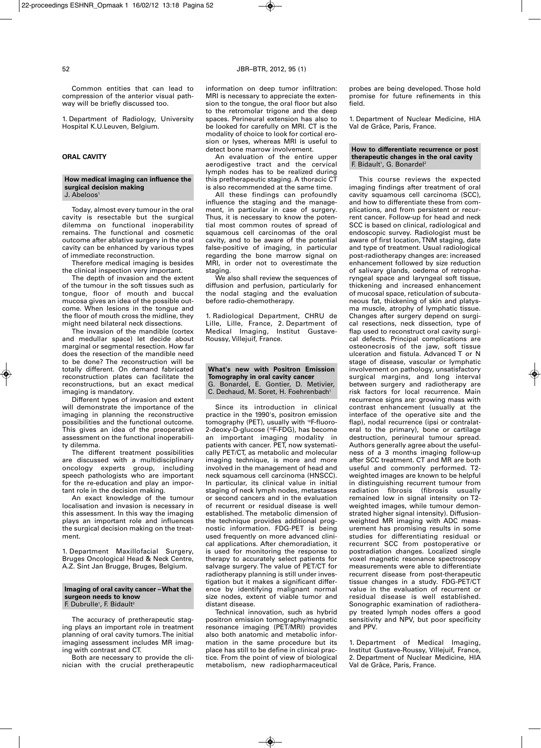Common entities that can lead to compression of the anterior visual pathway will be briefly discussed too.

1. Department of Radiology, University Hospital K.U.Leuven, Belgium.

# **ORAL CAVITY**

#### **How medical imaging can influence the surgical decision making** J. Abeloos1

Today, almost every tumour in the oral cavity is resectable but the surgical dilemma on functional inoperability remains. The functional and cosmetic outcome after ablative surgery in the oral cavity can be enhanced by various types of immediate reconstruction.

Therefore medical imaging is besides the clinical inspection very important.

The depth of invasion and the extent of the tumour in the soft tissues such as tongue, floor of mouth and buccal mucosa gives an idea of the possible outcome. When lesions in the tongue and the floor of mouth cross the midline, they might need bilateral neck dissections.

The invasion of the mandible (cortex and medullar space) let decide about marginal or segmental resection. How far does the resection of the mandible need to be done? The reconstruction will be totally different. On demand fabricated reconstruction plates can facilitate the reconstructions, but an exact medical imaging is mandatory.

Different types of invasion and extent will demonstrate the importance of the imaging in planning the reconstructive possibilities and the functional outcome. This gives an idea of the preoperative assessment on the functional inoperability dilemma.

The different treatment possibilities are discussed with a multidisciplinary oncology experts group, including speech pathologists who are important for the re-education and play an important role in the decision making.

An exact knowledge of the tumour localisation and invasion is necessary in this assessment. In this way the imaging plays an important role and influences the surgical decision making on the treatment.

1. Department Maxillofacial Surgery, Bruges Oncological Head & Neck Centre, A.Z. Sint Jan Brugge, Bruges, Belgium.

## **Imaging of oral cavity cancer –What the surgeon needs to know** F. Dubrulle<sup>1</sup>, F. Bidault<sup>2</sup>

The accuracy of pretherapeutic staging plays an important role in treatment planning of oral cavity tumors.The initial imaging assessment includes MR imaging with contrast and CT.

Both are necessary to provide the clinician with the crucial pretherapeutic information on deep tumor infiltration: MRI is necessary to appreciate the extension to the tongue, the oral floor but also to the retromolar trigone and the deep spaces. Perineural extension has also to be looked for carefully on MRI. CT is the modality of choice to look for cortical erosion or lyses, whereas MRI is useful to detect bone marrow involvement.

An evaluation of the entire upper aerodigestive tract and the cervical lymph nodes has to be realized during this pretherapeutic staging. A thoracic CT is also recommended at the same time.

All these findings can profoundly influence the staging and the management, in particular in case of surgery. Thus, it is necessary to know the potential most common routes of spread of squamous cell carcinomas of the oral cavity, and to be aware of the potential false-positive of imaging, in particular regarding the bone marrow signal on MRI, in order not to overestimate the staging.

We also shall review the sequences of diffusion and perfusion, particularly for the nodal staging and the evaluation before radio-chemotherapy.

1. Radiological Department, CHRU de Lille, Lille, France, 2. Department of Medical Imaging, Institut Gustave-Roussy, Villejuif, France.

# **What's new with Positron Emission Tomography in oral cavity cancer** G. Bonardel, E. Gontier, D. Metivier,

C. Dechaud, M. Soret, H. Foehrenbach<sup>1</sup>

Since its introduction in clinical practice in the 1990's, positron emission tomography (PET), usually with <sup>18</sup>F-fluoro-2-deoxy-D-glucose (18 F-FDG), has become an important imaging modality in patients with cancer. PET, now systematically PET/CT, as metabolic and molecular imaging technique, is more and more involved in the management of head and neck squamous cell carcinoma (HNSCC). In particular, its clinical value in initial staging of neck lymph nodes, metastases or second cancers and in the evaluation of recurrent or residual disease is well established. The metabolic dimension of the technique provides additional prognostic information. FDG-PET is being used frequently on more advanced clinical applications. After chemoradiation, it is used for monitoring the response to therapy to accurately select patients for salvage surgery. The value of PET/CT for radiotherapy planning is still under investigation but it makes a significant difference by identifying malignant normal size nodes, extent of viable tumor and distant disease.

Technical innovation, such as hybrid positron emission tomography/magnetic resonance imaging (PET/MRI) provides also both anatomic and metabolic information in the same procedure but its place has still to be define in clinical practice. From the point of view of biological metabolism, new radiopharmaceutical

probes are being developed. Those hold promise for future refinements in this field.

1. Department of Nuclear Medicine, HIA Val de Grâce, Paris, France.

## **How to differentiate recurrence or post therapeutic changes in the oral cavity** F. Bidault<sup>1</sup>, G. Bonardel<sup>2</sup>

This course reviews the expected imaging findings after treatment of oral cavity squamous cell carcinoma (SCC), and how to differentiate these from complications, and from persistent or recurrent cancer. Follow-up for head and neck SCC is based on clinical, radiological and endoscopic survey. Radiologist must be aware of first location,TNM staging, date and type of treatment. Usual radiological post-radiotherapy changes are: increased enhancement followed by size reduction of salivary glands, oedema of retropharyngeal space and laryngeal soft tissue, thickening and increased enhancement of mucosal space, reticulation of subcutaneous fat, thickening of skin and platysma muscle, atrophy of lymphatic tissue. Changes after surgery depend on surgical resections, neck dissection, type of flap used to reconstruct oral cavity surgical defects. Principal complications are osteonecrosis of the jaw, soft tissue ulceration and fistula. Advanced T or N stage of disease, vascular or lymphatic involvement on pathology, unsatisfactory surgical margins, and long interval between surgery and radiotherapy are risk factors for local recurrence. Main recurrence signs are: growing mass with contrast enhancement (usually at the interface of the operative site and the flap), nodal recurrence (ipsi or contralateral to the primary), bone or cartilage destruction, perineural tumour spread. Authors generally agree about the usefulness of a 3 months imaging follow-up after SCC treatment. CT and MR are both useful and commonly performed. T2 weighted images are known to be helpful in distinguishing recurrent tumour from radiation fibrosis (fibrosis usually remained low in signal intensity on T2 weighted images, while tumour demonstrated higher signal intensity). Diffusionweighted MR imaging with ADC measurement has promising results in some studies for differentiating residual or recurrent SCC from postoperative or postradiation changes. Localized single voxel magnetic resonance spectroscopy measurements were able to differentiate recurrent disease from post-therapeutic tissue changes in a study. FDG-PET/CT value in the evaluation of recurrent or residual disease is well established. Sonographic examination of radiotherapy treated lymph nodes offers a good sensitivity and NPV, but poor specificity and PPV.

1. Department of Medical Imaging, Institut Gustave-Roussy, Villejuif, France, 2. Department of Nuclear Medicine, HIA Val de Grâce, Paris, France.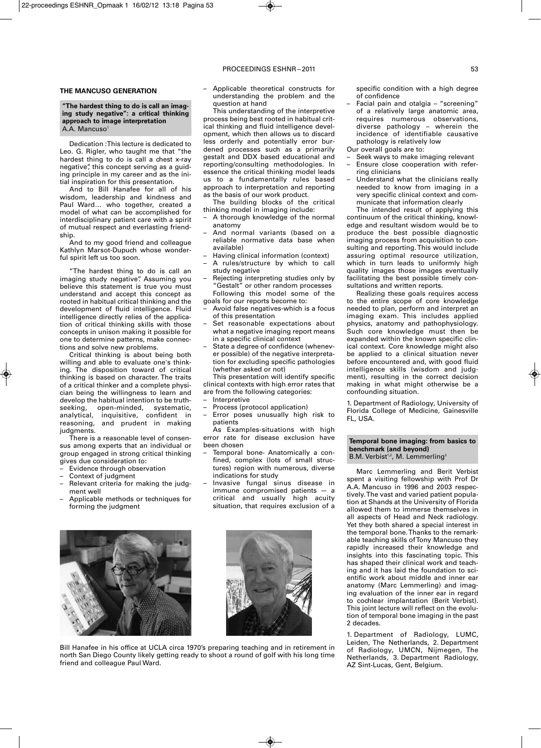# PROCEEDINGS ESHNR-2011 53

# **THE MANCUSO GENERATION**

### **"The hardest thing to do is call an imaging study negative": a critical thinking approach to image interpretation** A.A. Mancuso<sup>1</sup>

Dedication :This lecture is dedicated to Leo. G. Rigler, who taught me that "the hardest thing to do is call a chest x-ray negative", this concept serving as a guiding principle in my career and as the initial inspiration for this presentation.

And to Bill Hanafee for all of his wisdom, leadership and kindness and Paul Ward… who together, created a model of what can be accomplished for interdisciplinary patient care with a spirit of mutual respect and everlasting friendship.

And to my good friend and colleague Kathlyn Marsot-Dupuch whose wonderful spirit left us too soon.

"The hardest thing to do is call an imaging study negative". Assuming you believe this statement is true you must understand and accept this concept as rooted in habitual critical thinking and the development of fluid intelligence. Fluid intelligence directly relies of the application of critical thinking skills with those concepts in unison making it possible for one to determine patterns, make connections and solve new problems.

Critical thinking is about being both willing and able to evaluate one's thinking. The disposition toward of critical thinking is based on character. The traits of a critical thinker and a complete physician being the willingness to learn and develop the habitual intention to be truth-<br>seeking, open-minded, systematic, open-minded, systematic, analytical, inquisitive, confident in reasoning, and prudent in making judgments.

There is a reasonable level of consensus among experts that an individual or group engaged in strong critical thinking gives due consideration to:

- Evidence through observation
- Context of judgment
- Relevant criteria for making the judgment well
- Applicable methods or techniques for forming the judgment

– Applicable theoretical constructs for understanding the problem and the question at hand

This understanding of the interpretive process being best rooted in habitual critical thinking and fluid intelligence development, which then allows us to discard less orderly and potentially error burdened processes such as a primarily gestalt and DDX based educational and reporting/consulting methodologies. In essence the critical thinking model leads us to a fundamentally rules based approach to interpretation and reporting as the basis of our work product.

The building blocks of the critical thinking model in imaging include:

- A thorough knowledge of the normal anatomy
- And normal variants (based on a reliable normative data base when available)
- Having clinical information (context)
- A rules/structure by which to call study negative
- Rejecting interpreting studies only by "Gestalt" or other random processes Following this model some of the goals for our reports become to:
- Avoid false negatives-which is a focus of this presentation
- Set reasonable expectations about what a negative imaging report means in a specific clinical context
- State a degree of confidence (whenever possible) of the negative interpretation for excluding specific pathologies (whether asked or not)

This presentation will identify specific clinical contexts with high error rates that are from the following categories:

- **Interpretive**
- Process (protocol application)
- Error poses unusually high risk to patients

As Examples-situations with high error rate for disease exclusion have been chosen

- Temporal bone- Anatomically a confined, complex (lots of small structures) region with numerous, diverse indications for study
- Invasive fungal sinus disease in immune compromised patients — a critical and usually high acuity situation, that requires exclusion of a





Bill Hanafee in his office at UCLA circa 1970's preparing teaching and in retirement in north San Diego County likely getting ready to shoot a round of golf with his long time friend and colleague Paul Ward.

specific condition with a high degree of confidence

- Facial pain and otalgia "screening" of a relatively large anatomic area, requires numerous observations, diverse pathology – wherein the incidence of identifiable causative pathology is relatively low
- Our overall goals are to:
- Seek ways to make imaging relevant
- Ensure close cooperation with referring clinicians
	- Understand what the clinicians really needed to know from imaging in a very specific clinical context and communicate that information clearly

The intended result of applying this continuum of the critical thinking, knowledge and resultant wisdom would be to produce the best possible diagnostic imaging process from acquisition to consulting and reporting.This would include assuring optimal resource utilization, which in turn leads to uniformly high quality images those images eventually facilitating the best possible timely consultations and written reports.

Realizing these goals requires access to the entire scope of core knowledge needed to plan, perform and interpret an imaging exam. This includes applied physics, anatomy and pathophysiology. Such core knowledge must then be expanded within the known specific clinical context. Core knowledge might also be applied to a clinical situation never before encountered and, with good fluid intelligence skills (wisdom and judgment), resulting in the correct decision making in what might otherwise be a confounding situation.

1. Department of Radiology, University of Florida College of Medicine, Gainesville FL, USA.

**Temporal bone imaging: from basics to benchmark (and beyond)** B.M. Verbist<sup>1,2</sup>, M. Lemmerling<sup>3</sup>

Marc Lemmerling and Berit Verbist spent a visiting fellowship with Prof Dr A.A. Mancuso in 1996 and 2003 respectively.The vast and varied patient population at Shands at the University of Florida allowed them to immerse themselves in all aspects of Head and Neck radiology. Yet they both shared a special interest in the temporal bone.Thanks to the remarkable teaching skills ofTony Mancuso they rapidly increased their knowledge and insights into this fascinating topic. This has shaped their clinical work and teaching and it has laid the foundation to scientific work about middle and inner ear anatomy (Marc Lemmerling) and imaging evaluation of the inner ear in regard to cochlear implantation (Berit Verbist). This joint lecture will reflect on the evolution of temporal bone imaging in the past 2 decades.

1. Department of Radiology, LUMC, Leiden, The Netherlands, 2. Department of Radiology, UMCN, Nijmegen, The Netherlands, 3. Department Radiology, AZ Sint-Lucas, Gent, Belgium.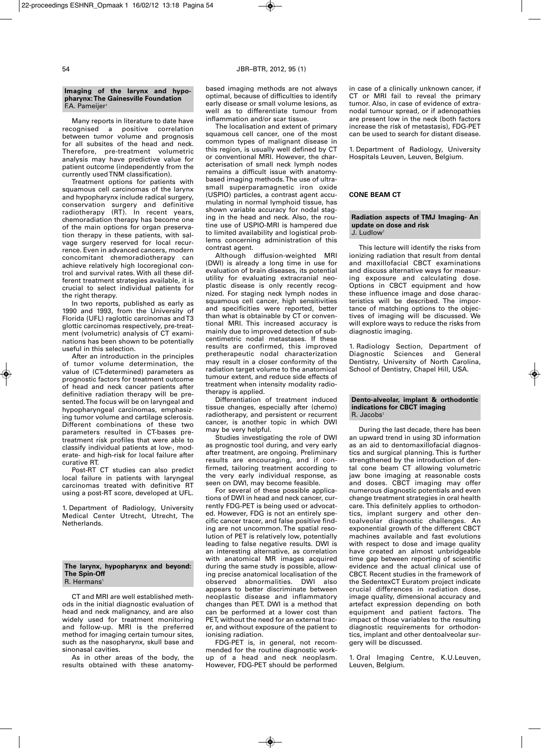# 54 JBR–BTR, 2012, 95 (1)

#### **Imaging of the larynx and hypopharynx:The Gainesville Foundation** F.A. Pameijer<sup>1</sup>

Many reports in literature to date have recognised a positive correlation between tumor volume and prognosis for all subsites of the head and neck. Therefore, pre-treatment volumetric analysis may have predictive value for patient outcome (independently from the currently usedTNM classification).

Treatment options for patients with squamous cell carcinomas of the larynx and hypopharynx include radical surgery, conservation surgery and definitive radiotherapy (RT). In recent years, chemoradiation therapy has become one of the main options for organ preservation therapy in these patients, with salvage surgery reserved for local recurrence. Even in advanced cancers, modern concomitant chemoradiotherapy can achieve relatively high locoregional control and survival rates. With all these different treatment strategies available, it is crucial to select individual patients for the right therapy.

In two reports, published as early as 1990 and 1993, from the University of Florida (UFL) raglottic carcinomas andT3 glottic carcinomas respectively, pre-treatment (volumetric) analysis of CT examinations has been shown to be potentially useful in this selection.

After an introduction in the principles of tumor volume determination, the value of (CT-determined) parameters as prognostic factors for treatment outcome of head and neck cancer patients after definitive radiation therapy will be presented.The focus will be on laryngeal and hypopharyngeal carcinomas, emphasizing tumor volume and cartilage sclerosis. Different combinations of these two parameters resulted in CT-bases pretreatment risk profiles that were able to classify individual patients at low-, moderate- and high-risk for local failure after curative RT.

Post-RT CT studies can also predict local failure in patients with laryngeal carcinomas treated with definitive RT using a post-RT score, developed at UFL.

1. Department of Radiology, University Medical Center Utrecht, Utrecht, The Netherlands.

#### **The larynx, hypopharynx and beyond: The Spin-Off** R. Hermans1

CT and MRI are well established methods in the initial diagnostic evaluation of head and neck malignancy, and are also widely used for treatment monitoring and follow-up. MRI is the preferred method for imaging certain tumour sites, such as the nasopharynx, skull base and sinonasal cavities.

As in other areas of the body, the results obtained with these anatomybased imaging methods are not always optimal, because of difficulties to identify early disease or small volume lesions, as well as to differentiate tumour from inflammation and/or scar tissue.

The localisation and extent of primary squamous cell cancer, one of the most common types of malignant disease in this region, is usually well defined by CT or conventional MRI. However, the characterisation of small neck lymph nodes remains a difficult issue with anatomybased imaging methods.The use of ultrasmall superparamagnetic iron oxide (USPIO) particles, a contrast agent accumulating in normal lymphoid tissue, has shown variable accuracy for nodal staging in the head and neck. Also, the routine use of USPIO-MRI is hampered due to limited availability and logistical problems concerning administration of this contrast agent.

Although diffusion-weighted MRI (DWI) is already a long time in use for evaluation of brain diseases, its potential utility for evaluating extracranial neoplastic disease is only recently recognized. For staging neck lymph nodes in squamous cell cancer, high sensitivities and specificities were reported, better than what is obtainable by CT or conventional MRI. This increased accuracy is mainly due to improved detection of subcentimetric nodal metastases. If these results are confirmed, this improved pretherapeutic nodal characterization may result in a closer conformity of the radiation target volume to the anatomical tumour extent, and reduce side effects of treatment when intensity modality radiotherapy is applied.

Differentiation of treatment induced tissue changes, especially after (chemo) radiotherapy, and persistent or recurrent cancer, is another topic in which DWI may be very helpful.

Studies investigating the role of DWI as prognostic tool during, and very early after treatment, are ongoing. Preliminary results are encouraging, and if confirmed, tailoring treatment according to the very early individual response, as seen on DWI, may become feasible.

For several of these possible applications of DWI in head and neck cancer, currently FDG-PET is being used or advocated. However, FDG is not an entirely specific cancer tracer, and false positive finding are not uncommon. The spatial resolution of PET is relatively low, potentially leading to false negative results. DWI is an interesting alternative, as correlation with anatomical MR images acquired during the same study is possible, allowing precise anatomical localisation of the observed abnormalities. DWI also appears to better discriminate between neoplastic disease and inflammatory changes than PET. DWI is a method that can be performed at a lower cost than PET, without the need for an external tracer, and without exposure of the patient to ionising radiation.

FDG-PET is, in general, not recommended for the routine diagnostic workup of a head and neck neoplasm. However, FDG-PET should be performed in case of a clinically unknown cancer, if CT or MRI fail to reveal the primary tumor. Also, in case of evidence of extranodal tumour spread, or if adenopathies are present low in the neck (both factors increase the risk of metastasis), FDG-PET can be used to search for distant disease.

1. Department of Radiology, University Hospitals Leuven, Leuven, Belgium.

# **CONE BEAM CT**

#### **Radiation aspects of TMJ Imaging- An update on dose and risk** J. Ludlow1

This lecture will identify the risks from ionizing radiation that result from dental and maxillofacial CBCT examinations and discuss alternative ways for measuring exposure and calculating dose. Options in CBCT equipment and how these influence image and dose characteristics will be described. The importance of matching options to the objectives of imaging will be discussed. We will explore ways to reduce the risks from diagnostic imaging.

1. Radiology Section, Department of Diagnostic Sciences and General Dentistry, University of North Carolina, School of Dentistry, Chapel Hill, USA.

#### **Dento-alveolar, implant & orthodontic indications for CBCT imaging** R. Jacobs<sup>1</sup>

During the last decade, there has been an upward trend in using 3D information as an aid to dentomaxillofacial diagnostics and surgical planning. This is further strengthened by the introduction of dental cone beam CT allowing volumetric jaw bone imaging at reasonable costs and doses. CBCT imaging may offer numerous diagnostic potentials and even change treatment strategies in oral health care. This definitely applies to orthodontics, implant surgery and other dentoalveolar diagnostic challenges. An exponential growth of the different CBCT machines available and fast evolutions with respect to dose and image quality have created an almost unbridgeable time gap between reporting of scientific evidence and the actual clinical use of CBCT. Recent studies in the framework of the SedentexCT Euratom project indicate crucial differences in radiation dose, image quality, dimensional accuracy and artefact expression depending on both equipment and patient factors. The impact of those variables to the resulting diagnostic requirements for orthodontics, implant and other dentoalveolar surgery will be discussed.

1. Oral Imaging Centre, K.U.Leuven, Leuven, Belgium.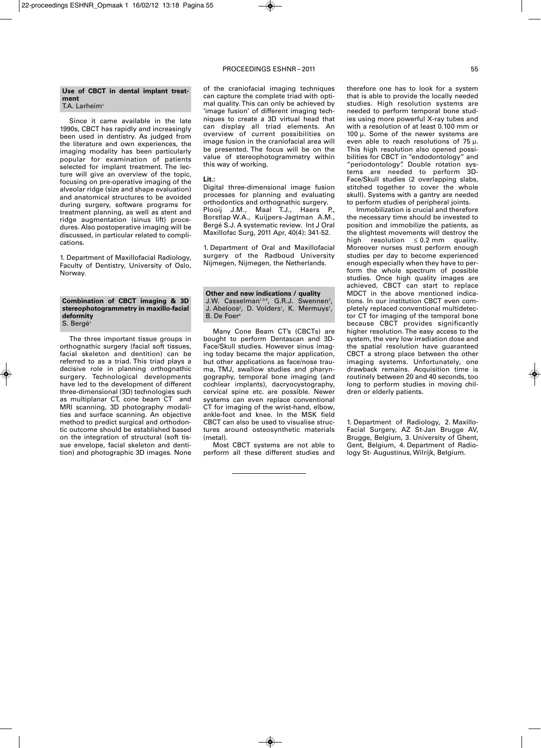# PROCEEDINGS ESHNR-2011 55

# **Use of CBCT in dental implant treatment**

T.A. Larheim<sup>1</sup>

Since it came available in the late 1990s, CBCT has rapidly and increasingly been used in dentistry. As judged from the literature and own experiences, the imaging modality has been particularly popular for examination of patients selected for implant treatment. The lecture will give an overview of the topic, focusing on pre-operative imaging of the alveolar ridge (size and shape evaluation) and anatomical structures to be avoided during surgery, software programs for treatment planning, as well as stent and ridge augmentation (sinus lift) procedures. Also postoperative imaging will be discussed, in particular related to complications.

1. Department of Maxillofacial Radiology, Faculty of Dentistry, University of Oslo, Norway.

## **Combination of CBCT imaging & 3D stereophotogrammetry in maxillo-facial deformity** S. Bergé<sup>1</sup>

The three important tissue groups in orthognathic surgery (facial soft tissues, facial skeleton and dentition) can be referred to as a triad. This triad plays a decisive role in planning orthognathic surgery. Technological developments have led to the development of different three-dimensional (3D) technologies such as multiplanar CT, cone beam CT and MRI scanning, 3D photography modalities and surface scanning. An objective method to predict surgical and orthodontic outcome should be established based on the integration of structural (soft tissue envelope, facial skeleton and dentition) and photographic 3D images. None

of the craniofacial imaging techniques can capture the complete triad with optimal quality.This can only be achieved by 'image fusion' of different imaging techniques to create a 3D virtual head that can display all triad elements. An overview of current possibilities on image fusion in the craniofacial area will be presented. The focus will be on the value of stereophotogrammetry within this way of working.

#### **Lit.:**

Digital three-dimensional image fusion<br>processes for planning and evaluating processes for planning and evaluating orthodontics and orthognathic surgery. Plooij J.M., Maal T.J., Haers Borstlap W.A., Kuijpers-Jagtman A.M., Bergé S.J. A systematic review. Int J Oral Maxillofac Surg, 2011 Apr, 40(4): 341-52.

1. Department of Oral and Maxillofacial surgery of the Radboud University Nijmegen, Nijmegen, the Netherlands.

**Other and new indications / quality** J.W. Casselman1,3,4 , G.R.J. Swennen2 , J. Abeloos<sup>2</sup>, D. Volders<sup>1</sup>, K. Mermuys<sup>1</sup>, B. De Foer4

Many Cone Beam CT's (CBCTs) are bought to perform Dentascan and 3D-Face/Skull studies. However sinus imaging today became the major application, but other applications as face/nose trauma, TMJ, swallow studies and pharyngography, temporal bone imaging (and cochlear implants), dacryocystography, cervical spine etc. are possible. Newer systems can even replace conventional CT for imaging of the wrist-hand, elbow, ankle-foot and knee. In the MSK field CBCT can also be used to visualise structures around osteosynthetic materials (metal).

Most CBCT systems are not able to perform all these different studies and therefore one has to look for a system that is able to provide the locally needed studies. High resolution systems are needed to perform temporal bone studies using more powerful X-ray tubes and with a resolution of at least 0.100 mm or 100 µ. Some of the newer systems are even able to reach resolutions of 75 µ. This high resolution also opened possibilities for CBCT in "endodontology" and "periodontology". Double rotation systems are needed to perform 3D-Face/Skull studies (2 overlapping slabs, stitched together to cover the whole skull). Systems with a gantry are needed to perform studies of peripheral joints.

Immobilization is crucial and therefore the necessary time should be invested to position and immobilize the patients, as the slightest movements will destroy the high resolution  $\leq 0.2$  mm quality. Moreover nurses must perform enough studies per day to become experienced enough especially when they have to perform the whole spectrum of possible studies. Once high quality images are achieved, CBCT can start to replace MDCT in the above mentioned indications. In our institution CBCT even completely replaced conventional multidetector CT for imaging of the temporal bone because CBCT provides significantly higher resolution. The easy access to the system, the very low irradiation dose and the spatial resolution have guaranteed CBCT a strong place between the other imaging systems. Unfortunately, one drawback remains. Acquisition time is routinely between 20 and 40 seconds, too long to perform studies in moving children or elderly patients.

1. Department of Radiology, 2. Maxillo-Facial Surgery, AZ St-Jan Brugge AV, Brugge, Belgium, 3. University of Ghent, Gent, Belgium, 4. Department of Radiology St- Augustinus, Wilrijk, Belgium.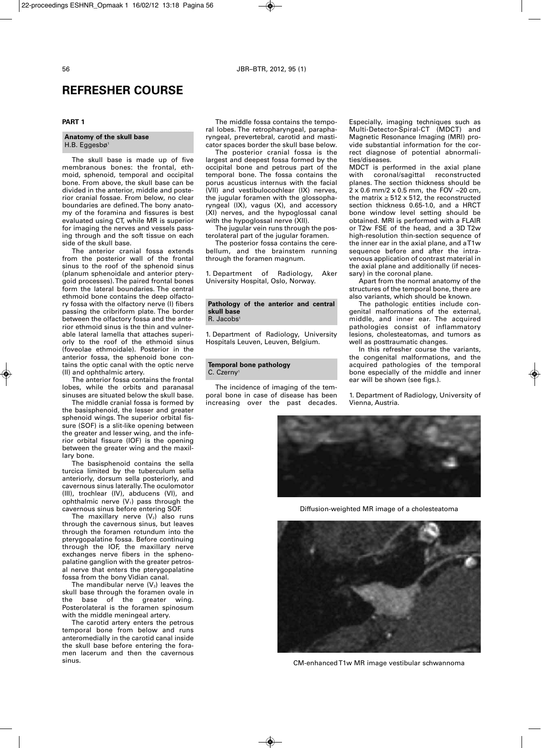# **REFRESHER COURSE**

# **PART 1**

## **Anatomy of the skull base** H.B. Eggesbø<sup>1</sup>

The skull base is made up of five membranous bones: the frontal, ethmoid, sphenoid, temporal and occipital bone. From above, the skull base can be divided in the anterior, middle and posterior cranial fossae. From below, no clear boundaries are defined. The bony anatomy of the foramina and fissures is best evaluated using CT, while MR is superior for imaging the nerves and vessels passing through and the soft tissue on each side of the skull base.

The anterior cranial fossa extends from the posterior wall of the frontal sinus to the roof of the sphenoid sinus (planum sphenoidale and anterior pterygoid processes).The paired frontal bones form the lateral boundaries. The central ethmoid bone contains the deep olfactory fossa with the olfactory nerve (I) fibers passing the cribriform plate. The border between the olfactory fossa and the anterior ethmoid sinus is the thin and vulnerable lateral lamella that attaches superiorly to the roof of the ethmoid sinus (foveolae ethmoidale). Posterior in the anterior fossa, the sphenoid bone contains the optic canal with the optic nerve (II) and ophthalmic artery.

The anterior fossa contains the frontal lobes, while the orbits and paranasal sinuses are situated below the skull base.

The middle cranial fossa is formed by the basisphenoid, the lesser and greater sphenoid wings. The superior orbital fissure (SOF) is a slit-like opening between the greater and lesser wing, and the inferior orbital fissure (IOF) is the opening between the greater wing and the maxillary bone.

The basisphenoid contains the sella turcica limited by the tuberculum sella anteriorly, dorsum sella posteriorly, and cavernous sinus laterally.The oculomotor (III), trochlear (IV), abducens (VI), and ophthalmic nerve  $(V_1)$  pass through the cavernous sinus before entering SOF.

The maxillary nerve  $(V_2)$  also runs through the cavernous sinus, but leaves through the foramen rotundum into the pterygopalatine fossa. Before continuing through the IOF, the maxillary nerve exchanges nerve fibers in the sphenopalatine ganglion with the greater petrosal nerve that enters the pterygopalatine fossa from the bony Vidian canal.

The mandibular nerve  $(V_3)$  leaves the skull base through the foramen ovale in the base of the greater wing. Posterolateral is the foramen spinosum with the middle meningeal artery.

The carotid artery enters the petrous temporal bone from below and runs anteromedially in the carotid canal inside the skull base before entering the foramen lacerum and then the cavernous sinus.

The middle fossa contains the temporal lobes. The retropharyngeal, parapharyngeal, prevertebral, carotid and masticator spaces border the skull base below.

The posterior cranial fossa is the largest and deepest fossa formed by the occipital bone and petrous part of the temporal bone. The fossa contains the porus acusticus internus with the facial (VII) and vestibulocochlear (IX) nerves, the jugular foramen with the glossopharyngeal (IX), vagus (X), and accessory (XI) nerves, and the hypoglossal canal with the hypoglossal nerve (XII).

The jugular vein runs through the posterolateral part of the jugular foramen.

The posterior fossa contains the cerebellum, and the brainstem running through the foramen magnum.

1. Department of Radiology, Aker University Hospital, Oslo, Norway.

#### **Pathology of the anterior and central skull base** R. Jacobs<sup>1</sup>

1. Department of Radiology, University Hospitals Leuven, Leuven, Belgium.

### **Temporal bone pathology** C. Czerny<sup>1</sup>

The incidence of imaging of the temporal bone in case of disease has been increasing over the past decades.

Especially, imaging techniques such as Multi-Detector-Spiral-CT (MDCT) and Magnetic Resonance Imaging (MRI) provide substantial information for the correct diagnose of potential abnormalities/diseases.

MDCT is performed in the axial plane<br>with coronal/sagittal reconstructed coronal/sagittal reconstructed planes. The section thickness should be  $2 \times 0.6$  mm/2  $\times$  0.5 mm, the FOV ~20 cm, the matrix  $\geq 512 \times 512$ , the reconstructed section thickness 0.65-1.0, and a HRCT bone window level setting should be obtained. MRI is performed with a FLAIR or T2w FSE of the head, and a 3D T2w high-resolution thin-section sequence of the inner ear in the axial plane, and aT1w sequence before and after the intravenous application of contrast material in the axial plane and additionally (if necessary) in the coronal plane.

Apart from the normal anatomy of the structures of the temporal bone, there are also variants, which should be known.

The pathologic entities include congenital malformations of the external, middle, and inner ear. The acquired pathologies consist of inflammatory lesions, cholesteatomas, and tumors as well as posttraumatic changes.

In this refresher course the variants, the congenital malformations, and the acquired pathologies of the temporal bone especially of the middle and inner ear will be shown (see figs.).

1. Department of Radiology, University of Vienna, Austria.



Diffusion-weighted MR image of a cholesteatoma



CM-enhancedT1w MR image vestibular schwannoma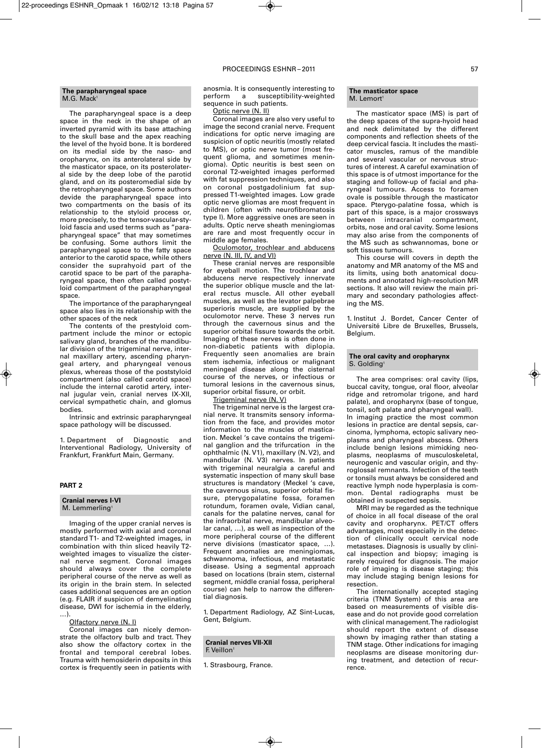# PROCEEDINGS ESHNR-2011 57

# **The parapharyngeal space** M.G. Mack<sup>1</sup>

The parapharyngeal space is a deep space in the neck in the shape of an inverted pyramid with its base attaching to the skull base and the apex reaching the level of the hyoid bone. It is bordered on its medial side by the naso- and oropharynx, on its anterolateral side by the masticator space, on its posterolateral side by the deep lobe of the parotid gland, and on its posteromedial side by the retropharyngeal space. Some authors devide the parapharyngeal space into two compartments on the basis of its relationship to the styloid process or, more precisely, to the tensor-vascular-styloid fascia and used terms such as "parapharyngeal space" that may sometimes be confusing. Some authors limit the parapharyngeal space to the fatty space anterior to the carotid space, while others consider the suprahyoid part of the carotid space to be part of the parapharyngeal space, then often called postytloid compartment of the parapharyngeal space.

The importance of the parapharyngeal space also lies in its relationship with the other spaces of the neck

The contents of the prestyloid compartment include the minor or ectopic salivary gland, branches of the mandibular division of the trigeminal nerve, internal maxillary artery, ascending pharyngeal artery, and pharyngeal venous plexus, whereas those of the poststyloid compartment (also called carotid space) include the internal carotid artery, internal jugular vein, cranial nerves IX-XII, cervical sympathetic chain, and glomus bodies.

Intrinsic and extrinsic parapharyngeal space pathology will be discussed.

1. Department of Diagnostic and Interventional Radiology, University of Frankfurt, Frankfurt Main, Germany.

#### **PART 2**

**Cranial nerves I-VI** M. Lemmerling<sup>1</sup>

Imaging of the upper cranial nerves is mostly performed with axial and coronal standard T1- and T2-weighted images, in combination with thin sliced heavily T2 weighted images to visualize the cisternal nerve segment. Coronal images should always cover the complete peripheral course of the nerve as well as its origin in the brain stem. In selected cases additional sequences are an option (e.g. FLAIR if suspicion of demyelinating disease, DWI for ischemia in the elderly, …).

Olfactory nerve (N. I)

Coronal images can nicely demonstrate the olfactory bulb and tract. They also show the olfactory cortex in the frontal and temporal cerebral lobes. Trauma with hemosiderin deposits in this cortex is frequently seen in patients with anosmia. It is consequently interesting to<br>perform a susceptibility-weighted susceptibility-weighted sequence in such patients.

Optic nerve (N. II)

Coronal images are also very useful to image the second cranial nerve. Frequent indications for optic nerve imaging are suspicion of optic neuritis (mostly related to MS), or optic nerve tumor (most frequent glioma, and sometimes meningioma). Optic neuritis is best seen on coronal T2-weighted images performed with fat suppression techniques, and also on coronal postgadolinium fat suppressed T1-weighted images. Low grade optic nerve gliomas are most frequent in children (often with neurofibromatosis type I). More aggressive ones are seen in adults. Optic nerve sheath meningiomas are rare and most frequently occur in middle age females.

Oculomotor, trochlear and abducens nerve (N. III, IV, and VI)

These cranial nerves are responsible for eyeball motion. The trochlear and abducens nerve respectively innervate the superior oblique muscle and the lateral rectus muscle. All other eyeball muscles, as well as the levator palpebrae superioris muscle, are supplied by the oculomotor nerve. These 3 nerves run through the cavernous sinus and the superior orbital fissure towards the orbit. Imaging of these nerves is often done in non-diabetic patients with diplopia. Frequently seen anomalies are brain stem ischemia, infectious or malignant meningeal disease along the cisternal course of the nerves, or infectious or tumoral lesions in the cavernous sinus, superior orbital fissure, or orbit.

Trigeminal nerve (N. V)

The trigeminal nerve is the largest cranial nerve. It transmits sensory information from the face, and provides motor information to the muscles of mastication. Meckel 's cave contains the trigeminal ganglion and the trifurcation in the ophthalmic (N. V1), maxillary (N. V2), and mandibular (N. V3) nerves. In patients with trigeminal neuralgia a careful and systematic inspection of many skull base structures is mandatory (Meckel 's cave, the cavernous sinus, superior orbital fissure, pterygopalatine fossa, foramen rotundum, foramen ovale, Vidian canal, canals for the palatine nerves, canal for the infraorbital nerve, mandibular alveolar canal, …), as well as inspection of the more peripheral course of the different nerve divisions (masticator space, …). Frequent anomalies are meningiomas, schwannoma, infectious, and metastatic disease. Using a segmental approach based on locations (brain stem, cisternal segment, middle cranial fossa, peripheral course) can help to narrow the differential diagnosis.

1. Department Radiology, AZ Sint-Lucas, Gent, Belgium.

**Cranial nerves VII-XII** F. Veillon1

1. Strasbourg, France.

## **The masticator space** M. Lemort<sup>1</sup>

The masticator space (MS) is part of the deep spaces of the supra-hyoid head and neck delimitated by the different components and reflection sheets of the deep cervical fascia. It includes the masticator muscles, ramus of the mandible and several vascular or nervous structures of interest. A careful examination of this space is of utmost importance for the staging and follow-up of facial and pharyngeal tumours. Access to foramen ovale is possible through the masticator space. Pterygo-palatine fossa, which is part of this space, is a major crossways between intracranial compartment, orbits, nose and oral cavity. Some lesions may also arise from the components of the MS such as schwannomas, bone or soft tissues tumours.

This course will covers in depth the anatomy and MR anatomy of the MS and its limits, using both anatomical documents and annotated high-resolution MR sections. It also will review the main primary and secondary pathologies affecting the MS.

1. Institut J. Bordet, Cancer Center of Université Libre de Bruxelles, Brussels, Belgium.

#### **The oral cavity and oropharynx** S. Golding<sup>1</sup>

The area comprises: oral cavity (lips, buccal cavity, tongue, oral floor, alveolar ridge and retromolar trigone, and hard palate), and oropharynx (base of tongue, tonsil, soft palate and pharyngeal wall). In imaging practice the most common lesions in practice are dental sepsis, carcinoma, lymphoma, ectopic salivary neoplasms and pharyngeal abscess. Others include benign lesions mimicking neoplasms, neoplasms of musculoskeletal, neurogenic and vascular origin, and thyroglossal remnants. Infection of the teeth or tonsils must always be considered and reactive lymph node hyperplasia is common. Dental radiographs must be obtained in suspected sepsis.

MRI may be regarded as the technique of choice in all focal disease of the oral cavity and oropharynx. PET/CT offers advantages, most especially in the detection of clinically occult cervical node metastases. Diagnosis is usually by clinical inspection and biopsy; imaging is rarely required for diagnosis. The major role of imaging is disease staging; this may include staging benign lesions for resection.

The internationally accepted staging criteria (TNM System) of this area are based on measurements of visible disease and do not provide good correlation with clinical management.The radiologist should report the extent of disease shown by imaging rather than stating a TNM stage. Other indications for imaging neoplasms are disease monitoring during treatment, and detection of recurrence.